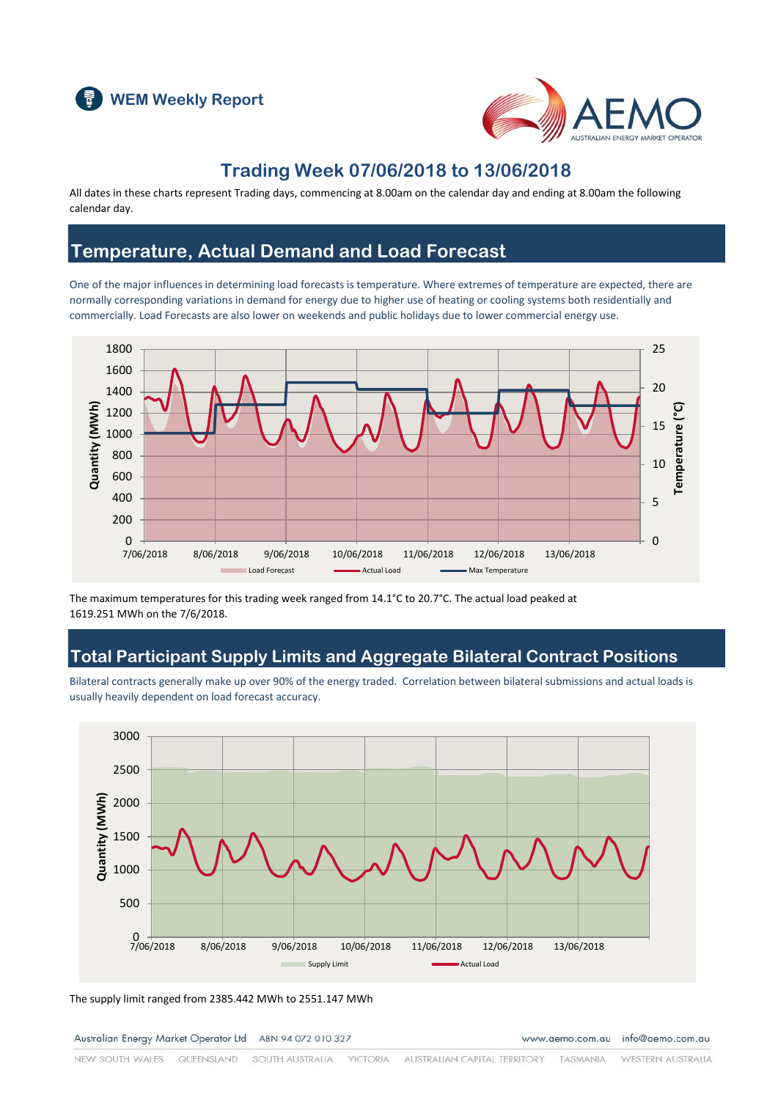



### **Trading Week 07/06/2018 to 13/06/2018**

All dates in these charts represent Trading days, commencing at 8.00am on the calendar day and ending at 8.00am the following calendar day.

#### **Temperature, Actual Demand and Load Forecast**

One of the major influences in determining load forecasts is temperature. Where extremes of temperature are expected, there are normally corresponding variations in demand for energy due to higher use of heating or cooling systems both residentially and commercially. Load Forecasts are also lower on weekends and public holidays due to lower commercial energy use.



The maximum temperatures for this trading week ranged from 14.1°C to 20.7°C. The actual load peaked at 1619.251 MWh on the 7/6/2018.

### **Total Participant Supply Limits and Aggregate Bilateral Contract Positions**

Bilateral contracts generally make up over 90% of the energy traded. Correlation between bilateral submissions and actual loads is usually heavily dependent on load forecast accuracy.



The supply limit ranged from 2385.442 MWh to 2551.147 MWh

Australian Energy Market Operator Ltd ABN 94 072 010 327

www.aemo.com.au info@aemo.com.au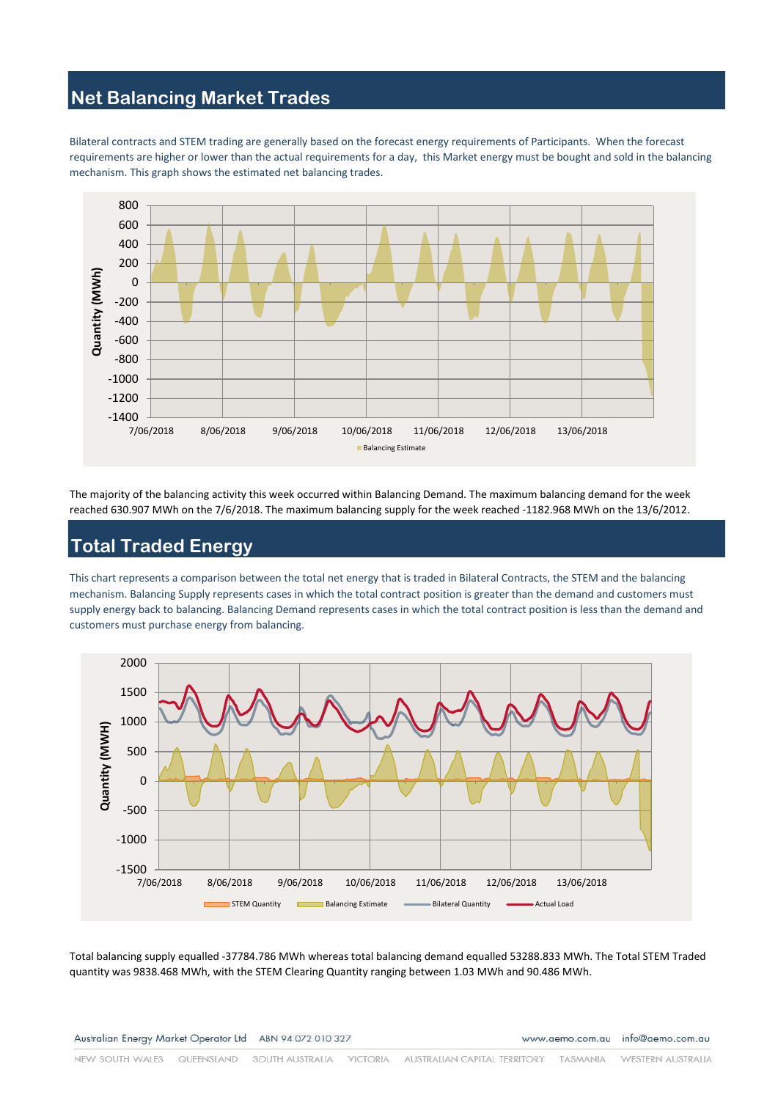### **Net Balancing Market Trades**

Bilateral contracts and STEM trading are generally based on the forecast energy requirements of Participants. When the forecast requirements are higher or lower than the actual requirements for a day, this Market energy must be bought and sold in the balancing mechanism. This graph shows the estimated net balancing trades.



The majority of the balancing activity this week occurred within Balancing Demand. The maximum balancing demand for the week reached 630.907 MWh on the 7/6/2018. The maximum balancing supply for the week reached -1182.968 MWh on the 13/6/2012.

# **Total Traded Energy**

This chart represents a comparison between the total net energy that is traded in Bilateral Contracts, the STEM and the balancing mechanism. Balancing Supply represents cases in which the total contract position is greater than the demand and customers must supply energy back to balancing. Balancing Demand represents cases in which the total contract position is less than the demand and customers must purchase energy from balancing.



Total balancing supply equalled -37784.786 MWh whereas total balancing demand equalled 53288.833 MWh. The Total STEM Traded quantity was 9838.468 MWh, with the STEM Clearing Quantity ranging between 1.03 MWh and 90.486 MWh.

Australian Energy Market Operator Ltd ABN 94 072 010 327

www.aemo.com.au info@aemo.com.au